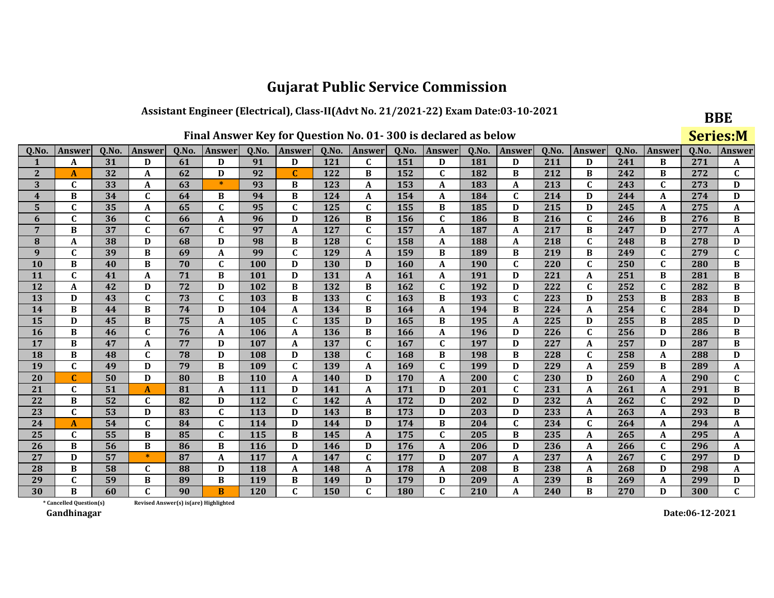## Assistant Engineer (Electrical), Class-II(Advt No. 21/2021-22) Exam Date:03-10-2021

| <b>BBE</b>      |
|-----------------|
| <b>Series:M</b> |

| Q.No.                   | <b>Answer</b>           | 0.No. | <b>Answer</b> | Q.No. | <b>Answer</b>                         | 0.No.      | <b>Answer</b>             | 0.No. | Answer       | 0.No. | Answer       | 0.No. | Answer       | 0.No. | <b>Answer</b> | 0.No. | Answer       | 0.No. | <b>Answer</b> |
|-------------------------|-------------------------|-------|---------------|-------|---------------------------------------|------------|---------------------------|-------|--------------|-------|--------------|-------|--------------|-------|---------------|-------|--------------|-------|---------------|
| $\mathbf{1}$            | A                       | 31    | D             | 61    | D                                     | 91         | D                         | 121   | C            | 151   | D            | 181   | D            | 211   | D             | 241   | B            | 271   | A             |
| $\mathbf{2}$            | A                       | 32    | A             | 62    | D                                     | 92         | $\mathbf C$               | 122   | B            | 152   | $\mathbf{C}$ | 182   | B            | 212   | B             | 242   | B            | 272   | C             |
| 3                       | C                       | 33    | A             | 63    | $\ast$                                | 93         | B                         | 123   | A            | 153   | $\mathbf{A}$ | 183   | A            | 213   | $\mathbf{C}$  | 243   | $\mathbf C$  | 273   | D             |
| $\overline{\mathbf{4}}$ | B                       | 34    | $\mathbf{C}$  | 64    | B                                     | 94         | B                         | 124   | A            | 154   | A            | 184   | $\mathbf C$  | 214   | D             | 244   | $\mathbf A$  | 274   | D             |
| 5                       | $\mathbf C$             | 35    | A             | 65    | C                                     | 95         | $\mathbf C$               | 125   | $\mathbf{C}$ | 155   | B            | 185   | D            | 215   | D             | 245   | A            | 275   | A             |
| 6                       | $\mathbf C$             | 36    | C             | 66    | A                                     | 96         | D                         | 126   | B            | 156   | $\mathbf{C}$ | 186   | B            | 216   | $\mathbf{C}$  | 246   | B            | 276   | В             |
| 7                       | B                       | 37    | $\mathbf{C}$  | 67    | $\mathbf{C}$                          | 97         | $\boldsymbol{A}$          | 127   | $\mathbf{C}$ | 157   | A            | 187   | A            | 217   | B             | 247   | D            | 277   | A             |
| 8                       | A                       | 38    | D             | 68    | D                                     | 98         | B                         | 128   | C            | 158   | A            | 188   | A            | 218   | C             | 248   | B            | 278   | D             |
| $\boldsymbol{9}$        | $\mathbf{C}$            | 39    | B             | 69    | A                                     | 99         | $\mathbf C$               | 129   | $\mathbf{A}$ | 159   | B            | 189   | B            | 219   | B             | 249   | $\mathbf{C}$ | 279   | $\mathbf{C}$  |
| 10                      | B                       | 40    | B             | 70    | $\mathbf{C}$                          | 100        | D                         | 130   | D            | 160   | A            | 190   | $\mathbf{C}$ | 220   | $\mathbf{C}$  | 250   | $\mathbf{C}$ | 280   | B             |
| 11                      | $\mathbf{C}$            | 41    | A             | 71    | B                                     | <b>101</b> | D                         | 131   | A            | 161   | A            | 191   | D            | 221   | A             | 251   | B            | 281   | В             |
| 12                      | A                       | 42    | D             | 72    | D                                     | 102        | B                         | 132   | B            | 162   | $\mathbf{C}$ | 192   | D            | 222   | $\mathbf{C}$  | 252   | $\mathbf C$  | 282   | $\, {\bf B}$  |
| 13                      | D                       | 43    | $\mathbf{C}$  | 73    | $\mathbf{C}$                          | 103        | B                         | 133   | $\mathbf{C}$ | 163   | B            | 193   | $\mathbf{C}$ | 223   | D             | 253   | B            | 283   | B             |
| 14                      | B                       | 44    | B             | 74    | D                                     | 104        | A                         | 134   | B            | 164   | A            | 194   | B            | 224   | A             | 254   | C            | 284   | D             |
| 15                      | D                       | 45    | B             | 75    | A                                     | 105        | $\mathbf C$               | 135   | D            | 165   | B            | 195   | A            | 225   | D             | 255   | B            | 285   | D             |
| 16                      | B                       | 46    | $\mathbf C$   | 76    | A                                     | 106        | $\boldsymbol{\mathsf{A}}$ | 136   | B            | 166   | A            | 196   | D            | 226   | $\mathbf{C}$  | 256   | D            | 286   | B             |
| 17                      | B                       | 47    | A             | 77    | D                                     | 107        | A                         | 137   | $\mathbf{C}$ | 167   | $\mathbf C$  | 197   | D            | 227   | A             | 257   | D            | 287   | В             |
| 18                      | B                       | 48    | $\mathbf{C}$  | 78    | D                                     | 108        | D                         | 138   | $\mathbf{C}$ | 168   | B            | 198   | B            | 228   | $\mathbf{C}$  | 258   | $\mathbf A$  | 288   | D             |
| 19                      | $\mathbf{C}$            | 49    | D             | 79    | B                                     | 109        | $\mathbf C$               | 139   | A            | 169   | $\mathbf{C}$ | 199   | D            | 229   | A             | 259   | B            | 289   | A             |
| 20                      | $\mathbf{C}$            | 50    | D             | 80    | В                                     | <b>110</b> | $\boldsymbol{\mathsf{A}}$ | 140   | D            | 170   | A            | 200   | $\mathbf{C}$ | 230   | D             | 260   | A            | 290   | C             |
| 21                      | $\mathbf{C}$            | 51    | $\mathbf{A}$  | 81    | A                                     | 111        | D                         | 141   | A            | 171   | D            | 201   | $\mathbf C$  | 231   | A             | 261   | A            | 291   | B             |
| 22                      | B                       | 52    | C             | 82    | D                                     | 112        | $\mathbf C$               | 142   | A            | 172   | D            | 202   | D            | 232   | A             | 262   | $\mathbf C$  | 292   | D             |
| 23                      | $\mathbf{C}$            | 53    | D             | 83    | C                                     | 113        | D                         | 143   | B            | 173   | D            | 203   | D            | 233   | A             | 263   | A            | 293   | В             |
| 24                      | A                       | 54    | $\mathbf{C}$  | 84    | $\mathbf{C}$                          | 114        | D                         | 144   | D            | 174   | B            | 204   | $\mathbf C$  | 234   | $\mathbf{C}$  | 264   | $\mathbf A$  | 294   | A             |
| 25                      | $\mathbf C$             | 55    | B             | 85    | $\mathbf{C}$                          | 115        | B                         | 145   | A            | 175   | $\mathbf{C}$ | 205   | B            | 235   | A             | 265   | A            | 295   | A             |
| 26                      | B                       | 56    | B             | 86    | B                                     | 116        | D                         | 146   | D            | 176   | A            | 206   | D            | 236   | A             | 266   | $\mathbf C$  | 296   | A             |
| 27                      | D                       | 57    | $\ast$        | 87    | A                                     | 117        | A                         | 147   | $\mathbf{C}$ | 177   | D            | 207   | A            | 237   | A             | 267   | $\mathbf{C}$ | 297   | D             |
| 28                      | B                       | 58    | C             | 88    | D                                     | 118        | A                         | 148   | A            | 178   | A            | 208   | B            | 238   | A             | 268   | D            | 298   | A             |
| 29                      | $\mathbf C$             | 59    | B             | 89    | B                                     | 119        | B                         | 149   | D            | 179   | D            | 209   | A            | 239   | B             | 269   | A            | 299   | D             |
| 30                      | R                       | 60    | $\mathbf{C}$  | 90    | $\overline{B}$                        | 120        | $\mathbf C$               | 150   | $\mathbf{C}$ | 180   | $\mathbf{C}$ | 210   | A            | 240   | $\bf{B}$      | 270   | D            | 300   | $\mathbf{C}$  |
|                         | * Cancelled Question(s) |       |               |       | Revised Answer(s) is(are) Highlighted |            |                           |       |              |       |              |       |              |       |               |       |              |       |               |

Revised Answer(s) is(are) Highlighted

Gandhinagar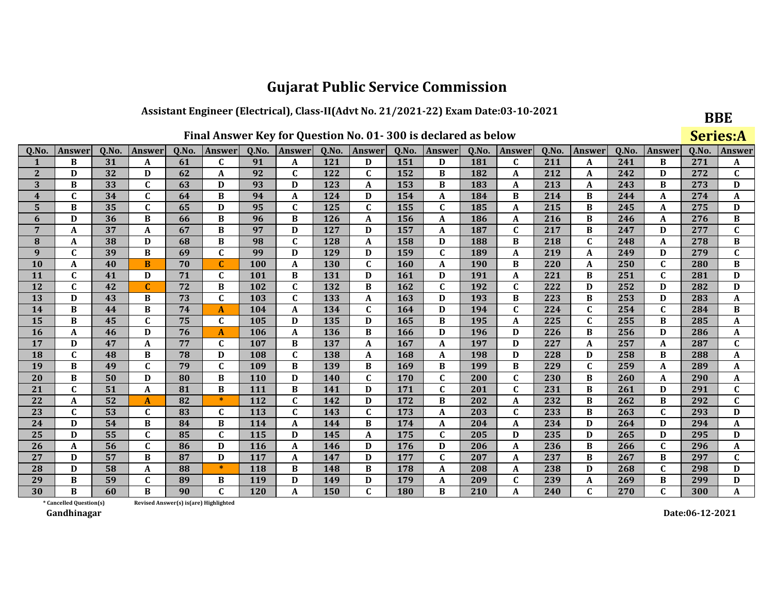## Assistant Engineer (Electrical), Class-II(Advt No. 21/2021-22) Exam Date:03-10-2021

| Final Answer Key for Question No. 01-300 is declared as below |  |
|---------------------------------------------------------------|--|
|---------------------------------------------------------------|--|

**BBE** 

|                         | Final Answer Key for Question No. 01-300 is declared as below |       |              |                                       |               |       |                  |            |              |            |              |            |               |       |              | <b>Series:A</b> |              |       |              |
|-------------------------|---------------------------------------------------------------|-------|--------------|---------------------------------------|---------------|-------|------------------|------------|--------------|------------|--------------|------------|---------------|-------|--------------|-----------------|--------------|-------|--------------|
| Q.No.                   | Answer                                                        | Q.No. | Answer       | Q.No.                                 | <b>Answer</b> | Q.No. | Answer           | Q.No.      | Answer       | Q.No.      | Answer       | Q.No.      | <b>Answer</b> | Q.No. | Answer       | Q.No.           | Answer       | Q.No. | Answer       |
| $\mathbf{1}$            | B                                                             | 31    | A            | 61                                    | $\mathbf{C}$  | 91    | A                | 121        | D            | 151        | D            | 181        | $\mathbf{C}$  | 211   | A            | 241             | B            | 271   | A            |
| $\mathbf{2}$            | D                                                             | 32    | D            | 62                                    | A             | 92    | $\mathbf C$      | 122        | $\mathbf C$  | 152        | B            | 182        | A             | 212   | A            | 242             | D            | 272   | $\mathbf{C}$ |
| 3                       | B                                                             | 33    | $\mathbf C$  | 63                                    | D             | 93    | D                | 123        | A            | 153        | B            | 183        | A             | 213   | A            | 243             | B            | 273   | D            |
| $\overline{\mathbf{4}}$ | $\mathbf{C}$                                                  | 34    | $\mathbf C$  | 64                                    | B             | 94    | $\boldsymbol{A}$ | 124        | D            | 154        | A            | 184        | B             | 214   | B            | 244             | A            | 274   | A            |
| 5                       | B                                                             | 35    | $\mathbf C$  | 65                                    | D             | 95    | $\mathbf C$      | 125        | $\mathbf{C}$ | 155        | $\mathbf{C}$ | 185        | A             | 215   | B            | 245             | A            | 275   | D            |
| 6                       | D                                                             | 36    | B            | 66                                    | B             | 96    | $\, {\bf B}$     | 126        | A            | 156        | A            | 186        | A             | 216   | B            | 246             | A            | 276   | B            |
| $\overline{7}$          | A                                                             | 37    | A            | 67                                    | B             | 97    | D                | 127        | D            | 157        | A            | 187        | $\mathbf C$   | 217   | B            | 247             | D            | 277   | $\mathbf{C}$ |
| 8                       | A                                                             | 38    | D            | 68                                    | B             | 98    | $\mathbf C$      | 128        | A            | 158        | D            | 188        | B             | 218   | $\mathbf C$  | 248             | A            | 278   | B            |
| $\boldsymbol{9}$        | C                                                             | 39    | B            | 69                                    | $\mathbf{C}$  | 99    | D                | 129        | D            | 159        | $\mathbf{C}$ | 189        | A             | 219   | A            | 249             | D            | 279   | $\mathbf C$  |
| 10                      | A                                                             | 40    | B            | 70                                    | $\mathbf{C}$  | 100   | $\boldsymbol{A}$ | <b>130</b> | $\mathbf{C}$ | 160        | A            | <b>190</b> | B             | 220   | A            | 250             | $\mathbf C$  | 280   | B            |
| 11                      | C                                                             | 41    | D            | 71                                    | C             | 101   | B                | 131        | D            | 161        | D            | 191        | A             | 221   | B            | 251             | $\mathbf{C}$ | 281   | D            |
| 12                      | $\mathbf{C}$                                                  | 42    | C            | 72                                    | B             | 102   | $\mathbf C$      | 132        | B            | 162        | C            | 192        | $\mathbf{C}$  | 222   | D            | 252             | D            | 282   | D            |
| 13                      | D                                                             | 43    | B            | 73                                    | $\mathbf{C}$  | 103   | $\mathbf{C}$     | 133        | A            | 163        | D            | 193        | B             | 223   | B            | 253             | D            | 283   | A            |
| 14                      | B                                                             | 44    | B            | 74                                    | A             | 104   | $\boldsymbol{A}$ | 134        | $\mathbf C$  | 164        | D            | 194        | $\mathbf{C}$  | 224   | $\mathbf C$  | 254             | $\mathbf{C}$ | 284   | B            |
| 15                      | B                                                             | 45    | $\mathbf{C}$ | 75                                    | $\mathbf{C}$  | 105   | D                | 135        | D            | 165        | B            | 195        | A             | 225   | $\mathbf C$  | 255             | B            | 285   | A            |
| 16                      | A                                                             | 46    | D            | 76                                    | A             | 106   | A                | 136        | B            | 166        | D            | 196        | D             | 226   | B            | 256             | D            | 286   | A            |
| 17                      | D                                                             | 47    | A            | 77                                    | $\mathbf{C}$  | 107   | $\, {\bf B}$     | 137        | A            | 167        | $\mathbf{A}$ | 197        | D             | 227   | A            | 257             | A            | 287   | $\mathbf C$  |
| 18                      | $\mathbf{C}$                                                  | 48    | B            | 78                                    | D             | 108   | $\mathbf C$      | 138        | A            | 168        | A            | 198        | D             | 228   | D            | 258             | B            | 288   | A            |
| 19                      | B                                                             | 49    | $\mathbf C$  | 79                                    | $\mathbf{C}$  | 109   | $\, {\bf B}$     | 139        | B            | 169        | B            | 199        | B             | 229   | $\mathbf C$  | 259             | A            | 289   | A            |
| 20                      | B                                                             | 50    | D            | 80                                    | B             | 110   | D                | 140        | C            | 170        | C            | 200        | $\mathbf{C}$  | 230   | B            | 260             | A            | 290   | A            |
| 21                      | $\mathbf{C}$                                                  | 51    | A            | 81                                    | B             | 111   | $\, {\bf B}$     | 141        | D            | 171        | $\mathbf{C}$ | 201        | $\mathbf{C}$  | 231   | B            | 261             | D            | 291   | $\mathbf C$  |
| 22                      | A                                                             | 52    | A            | 82                                    | $\ast$        | 112   | $\mathbf C$      | 142        | D            | 172        | B            | 202        | A             | 232   | B            | 262             | B            | 292   | $\mathbf{C}$ |
| 23                      | $\mathbf C$                                                   | 53    | $\mathbf C$  | 83                                    | C             | 113   | $\mathbf C$      | 143        | C            | 173        | A            | 203        | $\mathbf C$   | 233   | $\, {\bf B}$ | 263             | $\mathbf C$  | 293   | $\mathbf D$  |
| 24                      | D                                                             | 54    | B            | 84                                    | B             | 114   | A                | 144        | B            | 174        | A            | 204        | A             | 234   | D            | 264             | D            | 294   | A            |
| 25                      | D                                                             | 55    | $\mathbf{C}$ | 85                                    | $\mathbf{C}$  | 115   | D                | 145        | A            | 175        | C            | 205        | D             | 235   | D            | 265             | D            | 295   | D            |
| 26                      | A                                                             | 56    | $\mathbf C$  | 86                                    | D             | 116   | $\boldsymbol{A}$ | 146        | D            | 176        | D            | 206        | A             | 236   | B            | 266             | $\mathbf C$  | 296   | A            |
| 27                      | D                                                             | 57    | B            | 87                                    | D             | 117   | $\boldsymbol{A}$ | 147        | D            | 177        | C            | 207        | A             | 237   | B            | 267             | B            | 297   | $\mathbf{C}$ |
| 28                      | D                                                             | 58    | A            | 88                                    | $\ast$        | 118   | B                | 148        | B            | 178        | A            | 208        | A             | 238   | D            | 268             | $\mathbf C$  | 298   | D            |
| 29                      | B                                                             | 59    | $\mathbf{C}$ | 89                                    | B             | 119   | D                | 149        | D            | 179        | A            | 209        | $\mathbf{C}$  | 239   | A            | 269             | B            | 299   | D            |
| 30                      | В                                                             | 60    | B            | 90                                    | $\mathbf{C}$  | 120   | $\boldsymbol{A}$ | 150        | $\mathbf{C}$ | <b>180</b> | B            | 210        | A             | 240   | $\mathbf C$  | 270             | $\mathbf{C}$ | 300   | A            |
|                         | * Cancelled Question(s)                                       |       |              | Revised Answer(s) is(are) Highlighted |               |       |                  |            |              |            |              |            |               |       |              |                 |              |       |              |

Revised Answer(s) is(are) Highlighted

Gandhinagar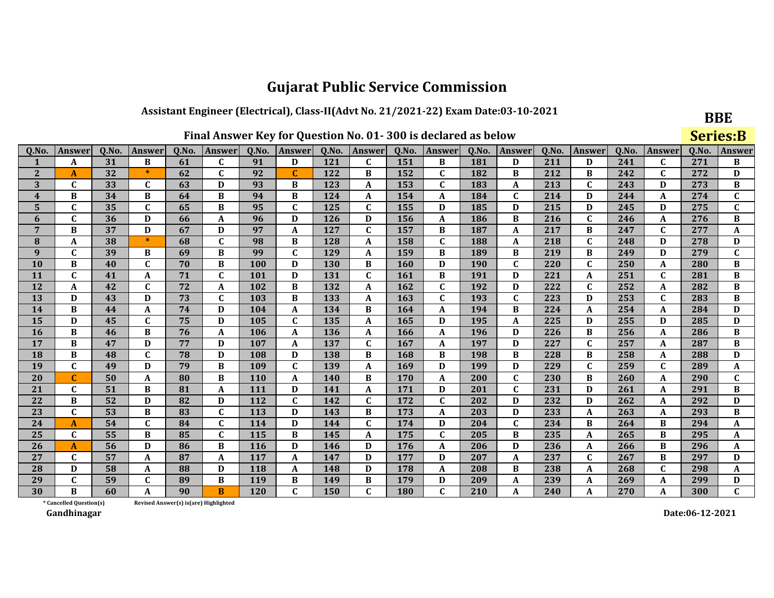## Assistant Engineer (Electrical), Class-II(Advt No. 21/2021-22) Exam Date:03-10-2021

| Final Answer Key for Question No. 01-300 is declared as below |
|---------------------------------------------------------------|
|                                                               |

**BBE** 

|                         | Final Answer Key for Question No. 01-300 is declared as below |       |              |                                        |               |            |                           |       |              |            |              |            |              |       |                  | <b>Series:B</b> |              |       |              |
|-------------------------|---------------------------------------------------------------|-------|--------------|----------------------------------------|---------------|------------|---------------------------|-------|--------------|------------|--------------|------------|--------------|-------|------------------|-----------------|--------------|-------|--------------|
| Q.No.                   | <b>Answer</b>                                                 | Q.No. | Answer       | Q.No.                                  | <b>Answer</b> | Q.No.      | Answer                    | Q.No. | Answer       | Q.No.      | Answer       | Q.No.      | Answer       | Q.No. | Answer           | Q.No.           | Answer       | Q.No. | Answer       |
| $\mathbf{1}$            | A                                                             | 31    | B            | 61                                     | C             | 91         | D                         | 121   | C            | 151        | B            | 181        | D            | 211   | D                | 241             | $\mathbf{C}$ | 271   | B            |
| $\mathbf{2}$            | A                                                             | 32    | $\ast$       | 62                                     | $\mathbf{C}$  | 92         | $\mathbf C$               | 122   | B            | 152        | $\mathbf C$  | 182        | B            | 212   | В                | 242             | $\mathbf C$  | 272   | D            |
| 3                       | $\mathbf C$                                                   | 33    | $\mathbf C$  | 63                                     | D             | 93         | B                         | 123   | A            | 153        | $\mathbf C$  | 183        | A            | 213   | $\mathbf C$      | 243             | D            | 273   | B            |
| $\overline{\mathbf{4}}$ | B                                                             | 34    | B            | 64                                     | B             | 94         | B                         | 124   | A            | 154        | A            | 184        | $\mathbf{C}$ | 214   | D                | 244             | A            | 274   | C            |
| 5                       | $\mathbf C$                                                   | 35    | $\mathbf C$  | 65                                     | B             | 95         | $\mathbf C$               | 125   | $\mathbf{C}$ | 155        | D            | 185        | D            | 215   | D                | 245             | D            | 275   | $\mathbf{C}$ |
| 6                       | $\mathbf{C}$                                                  | 36    | D            | 66                                     | A             | 96         | D                         | 126   | D            | 156        | A            | <b>186</b> | B            | 216   | $\mathbf C$      | 246             | A            | 276   | $\bf{B}$     |
| $\overline{7}$          | B                                                             | 37    | D            | 67                                     | D             | 97         | $\mathbf A$               | 127   | C            | 157        | B            | 187        | A            | 217   | В                | 247             | C            | 277   | A            |
| 8                       | A                                                             | 38    | $\ast$       | 68                                     | $\mathbf{C}$  | 98         | B                         | 128   | A            | 158        | $\mathbf{C}$ | 188        | A            | 218   | $\mathbf C$      | 248             | D            | 278   | D            |
| $\boldsymbol{9}$        | $\mathbf C$                                                   | 39    | B            | 69                                     | B             | 99         | $\mathbf C$               | 129   | A            | 159        | B            | 189        | B            | 219   | B                | 249             | D            | 279   | $\mathbf C$  |
| 10                      | B                                                             | 40    | $\mathbf{C}$ | 70                                     | В             | 100        | D                         | 130   | B            | 160        | D            | <b>190</b> | $\mathbf C$  | 220   | $\mathbf{C}$     | 250             | A            | 280   | $\bf{B}$     |
| 11                      | $\mathbf C$                                                   | 41    | A            | 71                                     | C             | 101        | D                         | 131   | $\mathbf C$  | 161        | B            | 191        | D            | 221   | A                | 251             | $\mathbf C$  | 281   | B            |
| 12                      | A                                                             | 42    | $\mathbf{C}$ | 72                                     | A             | 102        | $\, {\bf B}$              | 132   | A            | 162        | $\mathbf{C}$ | 192        | D            | 222   | $\mathbf C$      | 252             | A            | 282   | B            |
| 13                      | D                                                             | 43    | D            | 73                                     | $\mathbf{C}$  | 103        | B                         | 133   | $\mathbf{A}$ | 163        | $\mathbf{C}$ | 193        | $\mathbf C$  | 223   | D                | 253             | $\mathbf{C}$ | 283   | $\bf{B}$     |
| 14                      | B                                                             | 44    | A            | 74                                     | D             | 104        | $\mathbf{A}$              | 134   | B            | 164        | A            | 194        | B            | 224   | A                | 254             | A            | 284   | D            |
| 15                      | D                                                             | 45    | $\mathbf C$  | 75                                     | D             | 105        | $\mathbf C$               | 135   | A            | 165        | D            | 195        | $\mathbf{A}$ | 225   | D                | 255             | D            | 285   | D            |
| 16                      | B                                                             | 46    | B            | 76                                     | A             | 106        | $\boldsymbol{A}$          | 136   | A            | 166        | A            | 196        | D            | 226   | B                | 256             | A            | 286   | B            |
| 17                      | B                                                             | 47    | D            | 77                                     | D             | 107        | $\boldsymbol{A}$          | 137   | C            | 167        | A            | 197        | D            | 227   | $\mathbf C$      | 257             | A            | 287   | B            |
| 18                      | B                                                             | 48    | $\mathbf C$  | 78                                     | D             | 108        | D                         | 138   | B            | 168        | B            | 198        | B            | 228   | B                | 258             | A            | 288   | D            |
| 19                      | $\mathbf C$                                                   | 49    | D            | 79                                     | B             | 109        | $\mathbf C$               | 139   | A            | 169        | D            | 199        | D            | 229   | $\mathbf C$      | 259             | $\mathbf C$  | 289   | A            |
| 20                      | C                                                             | 50    | A            | 80                                     | В             | <b>110</b> | A                         | 140   | B            | 170        | A            | 200        | $\mathbf{C}$ | 230   | В                | 260             | A            | 290   | C            |
| 21                      | $\mathbf{C}$                                                  | 51    | B            | 81                                     | A             | 111        | D                         | 141   | A            | 171        | D            | 201        | $\mathbf C$  | 231   | D                | 261             | A            | 291   | $\bf{B}$     |
| 22                      | B                                                             | 52    | D            | 82                                     | D             | 112        | $\mathbf C$               | 142   | $\mathbf{C}$ | 172        | $\mathbf C$  | 202        | D            | 232   | D                | 262             | A            | 292   | D            |
| 23                      | $\mathbf C$                                                   | 53    | B            | 83                                     | $\mathbf C$   | 113        | $\mathbf D$               | 143   | B            | 173        | A            | 203        | D            | 233   | A                | 263             | A            | 293   | $\, {\bf B}$ |
| 24                      | A                                                             | 54    | $\mathbf C$  | 84                                     | $\mathbf{C}$  | 114        | D                         | 144   | C            | 174        | D            | 204        | $\mathbf C$  | 234   | B                | 264             | B            | 294   | A            |
| 25                      | $\mathbf C$                                                   | 55    | B            | 85                                     | $\mathbf{C}$  | 115        | $\, {\bf B}$              | 145   | A            | 175        | $\mathbf C$  | 205        | $\, {\bf B}$ | 235   | $\boldsymbol{A}$ | 265             | B            | 295   | A            |
| 26                      | $\mathbf{A}$                                                  | 56    | D            | 86                                     | B             | 116        | D                         | 146   | D            | 176        | A            | 206        | D            | 236   | A                | 266             | $\bf{B}$     | 296   | A            |
| 27                      | $\mathbf C$                                                   | 57    | A            | 87                                     | A             | 117        | $\boldsymbol{\mathsf{A}}$ | 147   | D            | 177        | D            | 207        | A            | 237   | $\mathbf C$      | 267             | B            | 297   | D            |
| 28                      | D                                                             | 58    | A            | 88                                     | D             | 118        | $\boldsymbol{A}$          | 148   | D            | 178        | A            | 208        | B            | 238   | A                | 268             | $\mathbf C$  | 298   | A            |
| 29                      | $\mathbf C$                                                   | 59    | $\mathbf C$  | 89                                     | B             | 119        | B                         | 149   | B            | 179        | D            | 209        | $\mathbf{A}$ | 239   | A                | 269             | A            | 299   | D            |
| 30                      | B                                                             | 60    | A            | 90                                     | <sub>B</sub>  | 120        | $\mathbf{C}$              | 150   | $\mathbf{C}$ | <b>180</b> | $\mathbf C$  | 210        | A            | 240   | A                | 270             | A            | 300   | $\mathbf{C}$ |
|                         | * Cancelled Question(s)                                       |       |              | Revised Answer(s) is (are) Highlighted |               |            |                           |       |              |            |              |            |              |       |                  |                 |              |       |              |

Revised Answer(s) is(are) Highlighted

Gandhinagar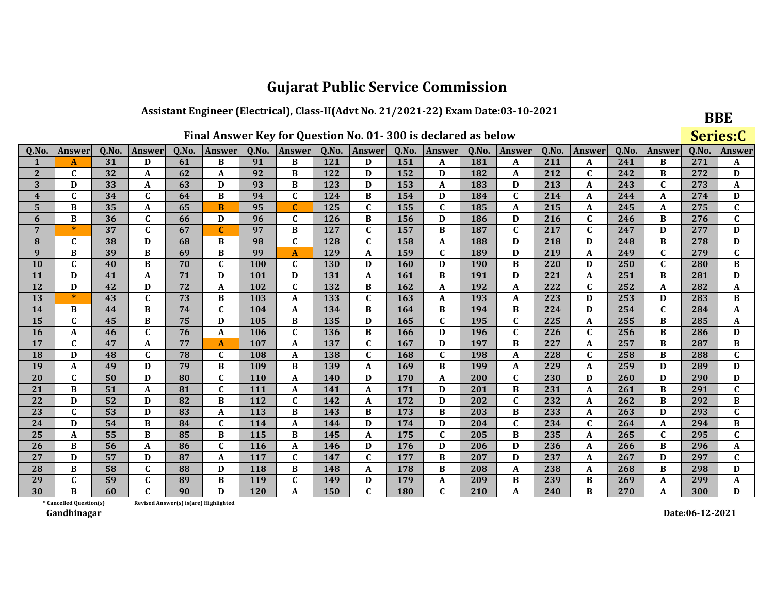## Assistant Engineer (Electrical), Class-II(Advt No. 21/2021-22) Exam Date:03-10-2021

|  |  |  | Final Answer Key for Question No. 01-300 is declared as below |
|--|--|--|---------------------------------------------------------------|
|--|--|--|---------------------------------------------------------------|

**BBE** 

|                         | Final Answer Key for Question No. 01-300 is declared as below |       |               |                                        |              |            |                  |       |              |            |                  |       |              |       |              | Series:C |               |       |              |
|-------------------------|---------------------------------------------------------------|-------|---------------|----------------------------------------|--------------|------------|------------------|-------|--------------|------------|------------------|-------|--------------|-------|--------------|----------|---------------|-------|--------------|
| 0.No.                   | Answer                                                        | 0.No. | <b>Answer</b> | Q.No.                                  | Answer       | Q.No.      | Answer           | Q.No. | Answer       | Q.No.      | <b>Answer</b>    | Q.No. | Answer       | Q.No. | Answer       | Q.No.    | <b>Answer</b> | Q.No. | Answer       |
| 1                       | A                                                             | 31    | D             | 61                                     | B            | 91         | B                | 121   | D            | 151        | A                | 181   | A            | 211   | A            | 241      | B             | 271   | A            |
| $\mathbf{2}$            | $\mathbf C$                                                   | 32    | A             | 62                                     | A            | 92         | B                | 122   | D            | 152        | D                | 182   | A            | 212   | $\mathbf{C}$ | 242      | B             | 272   | D            |
| 3                       | D                                                             | 33    | A             | 63                                     | D            | 93         | B                | 123   | D            | 153        | A                | 183   | D            | 213   | A            | 243      | $\mathbf C$   | 273   | A            |
| $\overline{\mathbf{4}}$ | $\mathbf C$                                                   | 34    | $\mathbf C$   | 64                                     | B            | 94         | $\mathbf C$      | 124   | B            | 154        | D                | 184   | $\mathbf C$  | 214   | A            | 244      | $\mathbf A$   | 274   | D            |
| $\overline{\mathbf{5}}$ | B                                                             | 35    | A             | 65                                     | B            | 95         | $\mathbf C$      | 125   | $\mathbf{C}$ | 155        | $\mathbf{C}$     | 185   | A            | 215   | A            | 245      | A             | 275   | $\mathbf{C}$ |
| 6                       | B                                                             | 36    | $\mathbf C$   | 66                                     | D            | 96         | $\mathbf C$      | 126   | B            | 156        | D                | 186   | D            | 216   | $\mathbf{C}$ | 246      | B             | 276   | $\mathbf C$  |
| $\overline{7}$          | $\ast$                                                        | 37    | $\mathbf{C}$  | 67                                     | C            | 97         | B                | 127   | $\mathbf{C}$ | 157        | B                | 187   | $\mathbf C$  | 217   | $\mathbf{C}$ | 247      | D             | 277   | D            |
| $\bf{8}$                | C                                                             | 38    | D             | 68                                     | В            | 98         | $\mathbf C$      | 128   | C            | 158        | $\boldsymbol{A}$ | 188   | D            | 218   | D            | 248      | B             | 278   | D            |
| 9                       | $\bf{B}$                                                      | 39    | B             | 69                                     | B            | 99         | A                | 129   | A            | 159        | $\mathbf C$      | 189   | D            | 219   | A            | 249      | $\mathbf C$   | 279   | $\mathbf{C}$ |
| $\overline{10}$         | $\overline{\mathbf{c}}$                                       | 40    | B             | 70                                     | $\mathbf{C}$ | 100        | $\mathbf C$      | 130   | D            | 160        | D                | 190   | B            | 220   | D            | 250      | $\mathbf C$   | 280   | B            |
| 11                      | D                                                             | 41    | A             | 71                                     | D            | 101        | D                | 131   | A            | 161        | B                | 191   | D            | 221   | A            | 251      | B             | 281   | D            |
| 12                      | D                                                             | 42    | D             | 72                                     | A            | 102        | $\mathbf{C}$     | 132   | B            | 162        | A                | 192   | $\mathbf{A}$ | 222   | $\mathbf{C}$ | 252      | $\mathbf A$   | 282   | A            |
| 13                      | $\ast$                                                        | 43    | $\mathbf C$   | 73                                     | B            | 103        | $\mathbf A$      | 133   | $\mathbf{C}$ | 163        | A                | 193   | A            | 223   | D            | 253      | D             | 283   | B            |
| 14                      | B                                                             | 44    | B             | 74                                     | $\mathbf{C}$ | 104        | $\mathbf A$      | 134   | B            | 164        | B                | 194   | B            | 224   | D            | 254      | $\mathbf C$   | 284   | A            |
| 15                      | C                                                             | 45    | B             | 75                                     | D            | 105        | B                | 135   | D            | 165        | $\mathbf C$      | 195   | $\mathbf C$  | 225   | A            | 255      | B             | 285   | A            |
| 16                      | A                                                             | 46    | $\mathbf{C}$  | 76                                     | A            | 106        | $\mathbf C$      | 136   | B            | 166        | D                | 196   | $\mathbf{C}$ | 226   | $\mathbf{C}$ | 256      | B             | 286   | D            |
| 17                      | $\mathbf{C}$                                                  | 47    | A             | 77                                     | A            | 107        | A                | 137   | $\mathbf{C}$ | 167        | D                | 197   | B            | 227   | A            | 257      | B             | 287   | B            |
| 18                      | D                                                             | 48    | $\mathbf C$   | 78                                     | $\mathbf{C}$ | 108        | A                | 138   | $\mathbf{C}$ | 168        | $\mathbf C$      | 198   | A            | 228   | $\mathbf{C}$ | 258      | B             | 288   | $\mathbf C$  |
| 19                      | A                                                             | 49    | $\mathbf{D}$  | 79                                     | B            | 109        | B                | 139   | A            | 169        | B                | 199   | A            | 229   | A            | 259      | D             | 289   | D            |
| 20                      | $\mathbf{C}$                                                  | 50    | D             | 80                                     | $\mathbf{C}$ | <b>110</b> | $\boldsymbol{A}$ | 140   | D            | 170        | A                | 200   | $\mathbf C$  | 230   | D            | 260      | D             | 290   | D            |
| 21                      | B                                                             | 51    | $\mathbf{A}$  | 81                                     | $\mathbf{C}$ | 111        | $\mathbf{A}$     | 141   | A            | 171        | D                | 201   | B            | 231   | A            | 261      | B             | 291   | $\mathbf C$  |
| 22                      | D                                                             | 52    | D             | 82                                     | B            | 112        | $\mathbf C$      | 142   | A            | 172        | D                | 202   | $\mathbf{C}$ | 232   | A            | 262      | B             | 292   | B            |
| 23                      | $\mathbf C$                                                   | 53    | D             | 83                                     | A            | 113        | $\bf{B}$         | 143   | B            | 173        | B                | 203   | B            | 233   | A            | 263      | D             | 293   | $\mathbf C$  |
| 24                      | D                                                             | 54    | B             | 84                                     | $\mathbf C$  | 114        | A                | 144   | D            | 174        | D                | 204   | $\mathbf C$  | 234   | C            | 264      | A             | 294   | B            |
| 25                      | A                                                             | 55    | B             | 85                                     | B            | 115        | B                | 145   | A            | 175        | $\mathbf C$      | 205   | B            | 235   | A            | 265      | $\mathbf{C}$  | 295   | $\mathbf{C}$ |
| 26                      | B                                                             | 56    | A             | 86                                     | $\mathbf C$  | 116        | A                | 146   | D            | 176        | D                | 206   | D            | 236   | A            | 266      | B             | 296   | A            |
| 27                      | D                                                             | 57    | D             | 87                                     | A            | 117        | $\mathbf C$      | 147   | C            | 177        | B                | 207   | D            | 237   | A            | 267      | D             | 297   | C            |
| 28                      | B                                                             | 58    | $\mathbf C$   | 88                                     | D            | 118        | B                | 148   | A            | 178        | B                | 208   | A            | 238   | A            | 268      | B             | 298   | D            |
| 29                      | $\mathbf{C}$                                                  | 59    | $\mathbf C$   | 89                                     | B            | 119        | $\mathbf{C}$     | 149   | D            | 179        | A                | 209   | B            | 239   | B            | 269      | A             | 299   | A            |
| 30                      | B                                                             | 60    | C             | 90                                     | D            | 120        | $\mathbf A$      | 150   | $\mathbf C$  | <b>180</b> | $\mathbf C$      | 210   | $\mathbf{A}$ | 240   | B            | 270      | A             | 300   | D            |
|                         | * Cancelled Question(s)                                       |       |               | Revised Answer(s) is (are) Highlighted |              |            |                  |       |              |            |                  |       |              |       |              |          |               |       |              |

Revised Answer(s) is(are) Highlighted

Gandhinagar